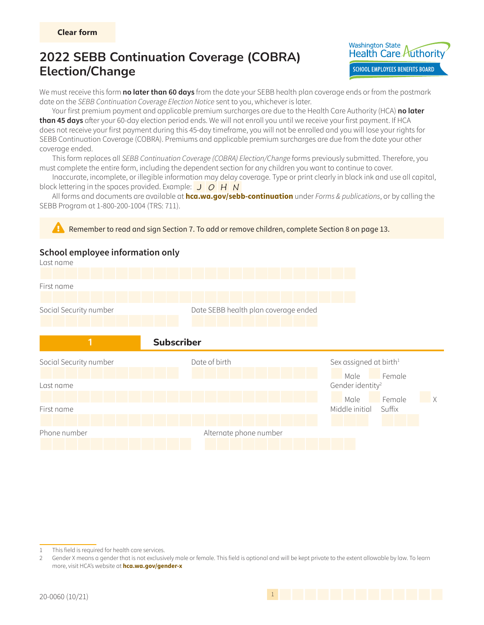

We must receive this form **no later than 60 days** from the date your SEBB health plan coverage ends or from the postmark date on the SEBB Continuation Coverage Election Notice sent to you, whichever is later.

Your first premium payment and applicable premium surcharges are due to the Health Care Authority (HCA) **no later than 45 days** after your 60-day election period ends. We will not enroll you until we receive your first payment. If HCA does not receive your first payment during this 45-day timeframe, you will not be enrolled and you will lose your rights for SEBB Continuation Coverage (COBRA). Premiums and applicable premium surcharges are due from the date your other coverage ended.

This form replaces all SEBB Continuation Coverage (COBRA) Election/Change forms previously submitted. Therefore, you must complete the entire form, including the dependent section for any children you want to continue to cover.

Inaccurate, incomplete, or illegible information may delay coverage. Type or print clearly in black ink and use all capital, block lettering in the spaces provided. Example:  $J$   $O$   $H N$ 

All forms and documents are available at **hca.wa.gov/sebb-continuation** under Forms & publications, or by calling the SEBB Program at 1-800-200-1004 (TRS: 711).





<sup>1</sup> This field is required for health care services.

<sup>2</sup> Gender X means a gender that is not exclusively male or female. This field is optional and will be kept private to the extent allowable by law. To learn more, visit HCA's website at **hca.wa.gov/gender-x**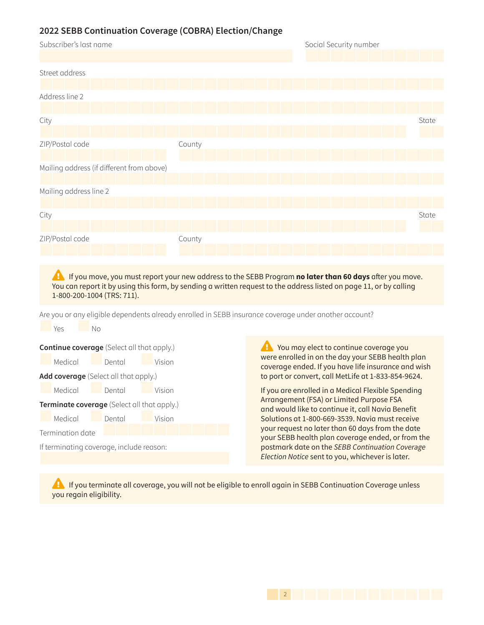

**Example If you move, you must report your new address to the SEBB Program <b>no later than 60 days** after you move. You can report it by using this form, by sending a written request to the address listed on [page 11,](#page-10-0) or by calling 1-800-200-1004 (TRS: 711).

Are you or any eligible dependents already enrolled in SEBB insurance coverage under another account?

**No. 2 Yes** No. **Continue coverage** (Select all that apply.) Medical Dental Vision **Add coverage** (Select all that apply.) Medical Dental Vision **Terminate coverage** (Select all that apply.) Medical Dental Vision Termination date If terminating coverage, include reason:

 $\epsilon$  You may elect to continue coverage you were enrolled in on the day your SEBB health plan coverage ended. If you have life insurance and wish to port or convert, call MetLife at 1-833-854-9624.

If you are enrolled in a Medical Flexible Spending Arrangement (FSA) or Limited Purpose FSA and would like to continue it, call Navia Benefit Solutions at 1-800-669-3539. Navia must receive your request no later than 60 days from the date your SEBB health plan coverage ended, or from the postmark date on the SEBB Continuation Coverage Election Notice sent to you, whichever is later.

**EX** If you terminate all coverage, you will not be eligible to enroll again in SEBB Continuation Coverage unless you regain eligibility.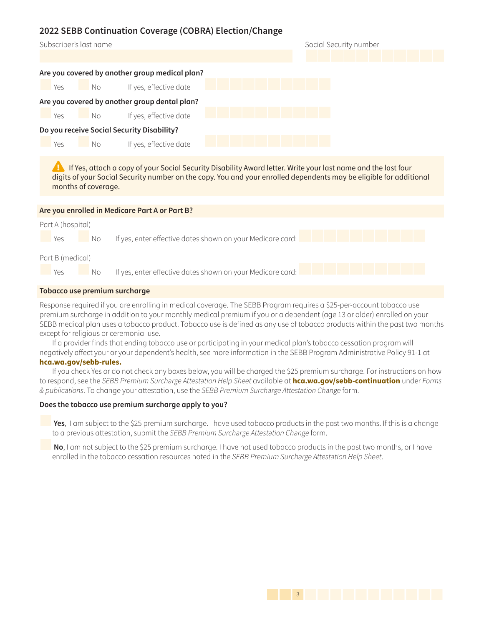| Subscriber's last name                         | Social Security number |
|------------------------------------------------|------------------------|
|                                                |                        |
| Are you covered by another group medical plan? |                        |
| If yes, effective date<br>Yes<br>No            |                        |
| Are you covered by another group dental plan?  |                        |
| If yes, effective date<br>Yes<br>No            |                        |
| Do you receive Social Security Disability?     |                        |
| If yes, effective date<br>Yes<br>No            |                        |
|                                                |                        |

**Example If Yes, attach a copy of your Social Security Disability Award letter. Write your last name and the last four** digits of your Social Security number on the copy. You and your enrolled dependents may be eligible for additional months of coverage.

| Are you enrolled in Medicare Part A or Part B? |                                                            |  |  |  |  |  |
|------------------------------------------------|------------------------------------------------------------|--|--|--|--|--|
| Part A (hospital)                              |                                                            |  |  |  |  |  |
| Yes<br>No.                                     | If yes, enter effective dates shown on your Medicare card: |  |  |  |  |  |
| Part B (medical)                               |                                                            |  |  |  |  |  |
| Yes<br>No.                                     | If yes, enter effective dates shown on your Medicare card: |  |  |  |  |  |
| <b>Tobacco use premium surcharge</b>           |                                                            |  |  |  |  |  |

Response required if you are enrolling in medical coverage. The SEBB Program requires a \$25-per-account tobacco use premium surcharge in addition to your monthly medical premium if you or a dependent (age 13 or older) enrolled on your SEBB medical plan uses a tobacco product. Tobacco use is defined as any use of tobacco products within the past two months except for religious or ceremonial use.

If a provider finds that ending tobacco use or participating in your medical plan's tobacco cessation program will negatively affect your or your dependent's health, see more information in the SEBB Program Administrative Policy 91-1 at

**hca.wa.gov/sebb-rules.**

If you check Yes or do not check any boxes below, you will be charged the \$25 premium surcharge. For instructions on how to respond, see the SEBB Premium Surcharge Attestation Help Sheet available at **hca.wa.gov/sebb-continuation** under Forms & publications. To change your attestation, use the SEBB Premium Surcharge Attestation Change form.

#### **Does the tobacco use premium surcharge apply to you?**

**Yes**, I am subject to the \$25 premium surcharge. I have used tobacco products in the past two months. If this is a change to a previous attestation, submit the SEBB Premium Surcharge Attestation Change form.

**No**, I am not subject to the \$25 premium surcharge. I have not used tobacco products in the past two months, or I have enrolled in the tobacco cessation resources noted in the SEBB Premium Surcharge Attestation Help Sheet.

143 **Page 3 of 1433**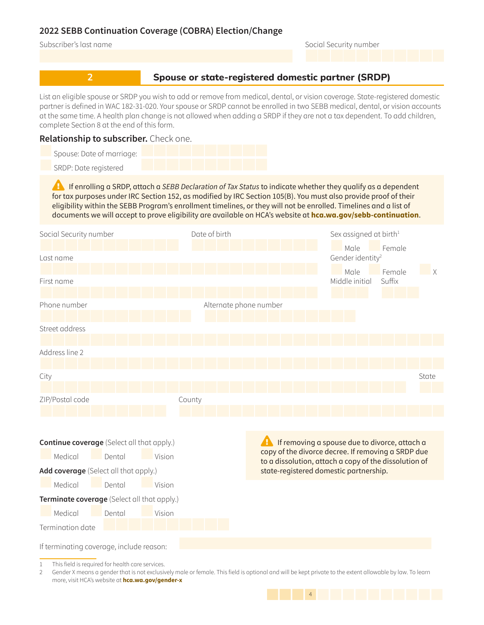#### Subscriber's last name Social Security number

## **2 2 Spouse or state-registered domestic partner (SRDP)**

List an eligible spouse or SRDP you wish to add or remove from medical, dental, or vision coverage. State-registered domestic partner is defined in WAC 182-31-020. Your spouse or SRDP cannot be enrolled in two SEBB medical, dental, or vision accounts at the same time. A health plan change is not allowed when adding a SRDP if they are not a tax dependent. To add children, complete Section 8 at the end of this form.

### **Relationship to subscriber.** Check one.

| Spouse: Date of marriage: |  |  |  |  |  |
|---------------------------|--|--|--|--|--|
| SRDP: Date registered     |  |  |  |  |  |

**Example If enrolling a SRDP, attach a SEBB Declaration of Tax Status to indicate whether they qualify as a dependent** for tax purposes under IRC Section 152, as modified by IRC Section 105(B). You must also provide proof of their eligibility within the SEBB Program's enrollment timelines, or they will not be enrolled. Timelines and a list of documents we will accept to prove eligibility are available on HCA's website at **hca.wa.gov/sebb-continuation**.



1 This field is required for health care services.

2 Gender X means a gender that is not exclusively male or female. This field is optional and will be kept private to the extent allowable by law. To learn more, visit HCA's website at **hca.wa.gov/gender-x**

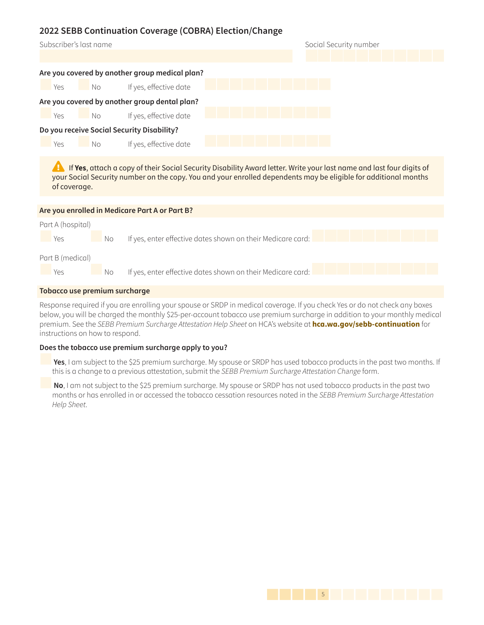| Subscriber's last name                         | Social Security number |
|------------------------------------------------|------------------------|
|                                                |                        |
| Are you covered by another group medical plan? |                        |
| If yes, effective date<br>Yes<br>No            |                        |
| Are you covered by another group dental plan?  |                        |
| If yes, effective date<br>Yes<br>No.           |                        |
| Do you receive Social Security Disability?     |                        |
| If yes, effective date<br>Yes<br>No.           |                        |
|                                                |                        |

**A** If Yes, attach a copy of their Social Security Disability Award letter. Write your last name and last four digits of your Social Security number on the copy. You and your enrolled dependents may be eligible for additional months of coverage.

| Are you enrolled in Medicare Part A or Part B? |     |                                                             |  |  |  |  |  |
|------------------------------------------------|-----|-------------------------------------------------------------|--|--|--|--|--|
| Part A (hospital)                              |     |                                                             |  |  |  |  |  |
| Yes                                            | No. | If yes, enter effective dates shown on their Medicare card: |  |  |  |  |  |
| Part B (medical)                               |     |                                                             |  |  |  |  |  |
| Yes                                            | No. | If yes, enter effective dates shown on their Medicare card: |  |  |  |  |  |
| <b>Tobacco use premium surcharge</b>           |     |                                                             |  |  |  |  |  |

Response required if you are enrolling your spouse or SRDP in medical coverage. If you check Yes or do not check any boxes below, you will be charged the monthly \$25-per-account tobacco use premium surcharge in addition to your monthly medical premium. See the SEBB Premium Surcharge Attestation Help Sheet on HCA's website at **hca.wa.gov/sebb-continuation** for instructions on how to respond.

#### **Does the tobacco use premium surcharge apply to you?**

**Yes**, I am subject to the \$25 premium surcharge. My spouse or SRDP has used tobacco products in the past two months. If this is a change to a previous attestation, submit the SEBB Premium Surcharge Attestation Change form.

**No**, I am not subject to the \$25 premium surcharge. My spouse or SRDP has not used tobacco products in the past two months or has enrolled in or accessed the tobacco cessation resources noted in the SEBB Premium Surcharge Attestation Help Sheet.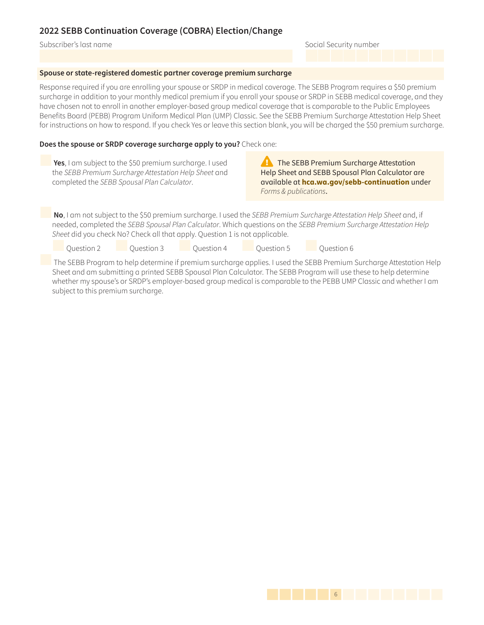#### Subscriber's last name Social Security number

#### **Spouse or state-registered domestic partner coverage premium surcharge**

Response required if you are enrolling your spouse or SRDP in medical coverage. The SEBB Program requires a \$50 premium surcharge in addition to your monthly medical premium if you enroll your spouse or SRDP in SEBB medical coverage, and they have chosen not to enroll in another employer-based group medical coverage that is comparable to the Public Employees Benefits Board (PEBB) Program Uniform Medical Plan (UMP) Classic. See the SEBB Premium Surcharge Attestation Help Sheet for instructions on how to respond. If you check Yes or leave this section blank, you will be charged the \$50 premium surcharge.

#### **Does the spouse or SRDP coverage surcharge apply to you?** Check one:

**Yes**, I am subject to the \$50 premium surcharge. I used the SEBB Premium Surcharge Attestation Help Sheet and completed the SEBB Spousal Plan Calculator.

**Example 3 Figure 1 September 2 Figure 2 Figure 2 Figure 2 Figure 2 Figure 2 Figure 3 Figure 3 Figure 3 Figure 3 Figure 3 Figure 3 Figure 3 Figure 3 Figure 3 Figure 3 Figure 3 Figure 3 Figure 3 Figure 3 Figure 3 Figure 3 F** Help Sheet and SEBB Spousal Plan Calculator are available at **hca.wa.gov/sebb-continuation** under Forms & publications.

**No**, I am not subject to the \$50 premium surcharge. I used the SEBB Premium Surcharge Attestation Help Sheet and, if needed, completed the SEBB Spousal Plan Calculator. Which questions on the SEBB Premium Surcharge Attestation Help Sheet did you check No? Check all that apply. Question 1 is not applicable.

Question 2 Question 3 Question 4 Question 5 Question 6

 The SEBB Program to help determine if premium surcharge applies. I used the SEBB Premium Surcharge Attestation Help Sheet and am submitting a printed SEBB Spousal Plan Calculator. The SEBB Program will use these to help determine whether my spouse's or SRDP's employer-based group medical is comparable to the PEBB UMP Classic and whether I am subject to this premium surcharge.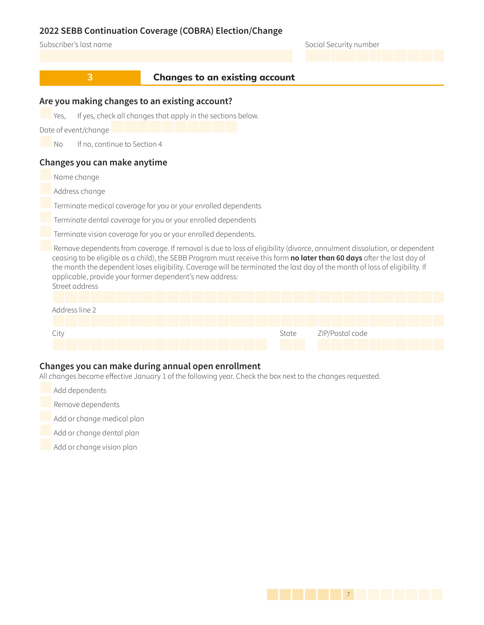#### Subscriber's last name Social Security number

### **8 2 Changes to an existing account**

### **Are you making changes to an existing account?**

Yes, If yes, check all changes that apply in the sections below.

Date of event/change

No If no, continue to Section 4

### **Changes you can make anytime**

Name change

Address change

Terminate medical coverage for you or your enrolled dependents

Terminate dental coverage for you or your enrolled dependents

Terminate vision coverage for you or your enrolled dependents.

 Remove dependents from coverage. If removal is due to loss of eligibility (divorce, annulment dissolution, or dependent ceasing to be eligible as a child), the SEBB Program must receive this form **no later than 60 days** after the last day of the month the dependent loses eligibility. Coverage will be terminated the last day of the month of loss of eligibility. If applicable, provide your former dependent's new address: Street address



### **Changes you can make during annual open enrollment**

All changes become effective January 1 of the following year. Check the box next to the changes requested.

- Add dependents
- Remove dependents
- Add or change medical plan

Add or change dental plan

Add or change vision plan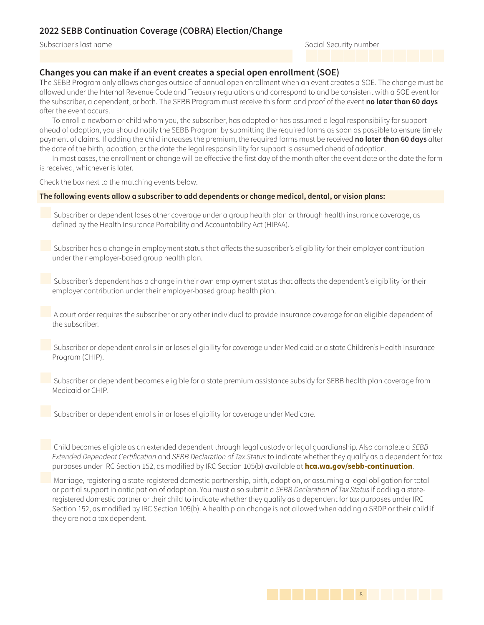Subscriber's last name Social Security number

### **Changes you can make if an event creates a special open enrollment (SOE)**

The SEBB Program only allows changes outside of annual open enrollment when an event creates a SOE. The change must be allowed under the Internal Revenue Code and Treasury regulations and correspond to and be consistent with a SOE event for the subscriber, a dependent, or both. The SEBB Program must receive this form and proof of the event **no later than 60 days**  after the event occurs.

To enroll a newborn or child whom you, the subscriber, has adopted or has assumed a legal responsibility for support ahead of adoption, you should notify the SEBB Program by submitting the required forms as soon as possible to ensure timely payment of claims. If adding the child increases the premium, the required forms must be received **no later than 60 days** after the date of the birth, adoption, or the date the legal responsibility for support is assumed ahead of adoption.

In most cases, the enrollment or change will be effective the first day of the month after the event date or the date the form is received, whichever is later.

Check the box next to the matching events below.

#### **The following events allow a subscriber to add dependents or change medical, dental, or vision plans:**

 Subscriber or dependent loses other coverage under a group health plan or through health insurance coverage, as defined by the Health Insurance Portability and Accountability Act (HIPAA).

 Subscriber has a change in employment status that affects the subscriber's eligibility for their employer contribution under their employer-based group health plan.

 Subscriber's dependent has a change in their own employment status that affects the dependent's eligibility for their employer contribution under their employer-based group health plan.

 A court order requires the subscriber or any other individual to provide insurance coverage for an eligible dependent of the subscriber.

 Subscriber or dependent enrolls in or loses eligibility for coverage under Medicaid or a state Children's Health Insurance Program (CHIP).

 Subscriber or dependent becomes eligible for a state premium assistance subsidy for SEBB health plan coverage from Medicaid or CHIP.

Subscriber or dependent enrolls in or loses eligibility for coverage under Medicare.

 Child becomes eligible as an extended dependent through legal custody or legal guardianship. Also complete a *SEBB*  Extended Dependent Certification and SEBB Declaration of Tax Status to indicate whether they qualify as a dependent for tax purposes under IRC Section 152, as modified by IRC Section 105(b) available at **hca.wa.gov/sebb-continuation**.

Marriage, registering a state-registered domestic partnership, birth, adoption, or assuming a legal obligation for total or partial support in anticipation of adoption. You must also submit a SEBB Declaration of Tax Status if adding a stateregistered domestic partner or their child to indicate whether they qualify as a dependent for tax purposes under IRC Section 152, as modified by IRC Section 105(b). A health plan change is not allowed when adding a SRDP or their child if they are not a tax dependent.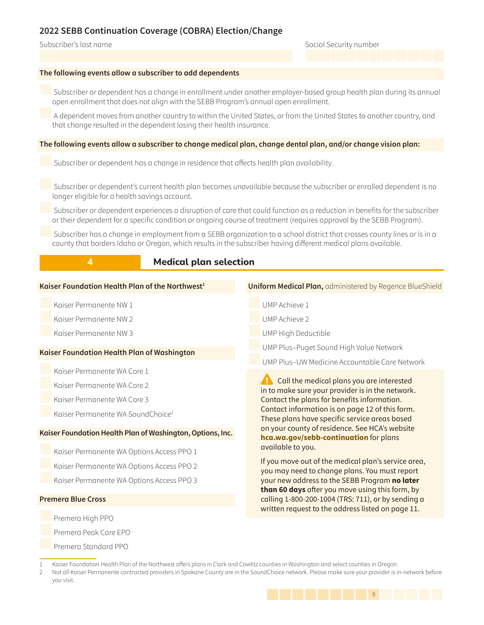Premera Standard PPO

#### Subscriber's last name Social Security number

#### **The following events allow a subscriber to add dependents**

 Subscriber or dependent has a change in enrollment under another employer-based group health plan during its annual open enrollment that does not align with the SEBB Program's annual open enrollment.

 A dependent moves from another country to within the United States, or from the United States to another country, and that change resulted in the dependent losing their health insurance.

#### **The following events allow a subscriber to change medical plan, change dental plan, and/or change vision plan:**

Subscriber or dependent has a change in residence that affects health plan availability.

 Subscriber or dependent's current health plan becomes unavailable because the subscriber or enrolled dependent is no longer eligible for a health savings account.

 Subscriber or dependent experiences a disruption of care that could function as a reduction in benefits for the subscriber or their dependent for a specific condition or ongoing course of treatment (requires approval by the SEBB Program).

 Subscriber has a change in employment from a SEBB organization to a school district that crosses county lines or is in a county that borders Idaho or Oregon, which results in the subscriber having different medical plans available.

### **4** *Medical plan selection*

| Kaiser Foundation Health Plan of the Northwest <sup>1</sup> | <b>Uniform Medical Plan, administered by Regence BlueShield</b>                                                                                            |  |  |  |
|-------------------------------------------------------------|------------------------------------------------------------------------------------------------------------------------------------------------------------|--|--|--|
| Kaiser Permanente NW 1                                      | UMP Achieve 1                                                                                                                                              |  |  |  |
| Kaiser Permanente NW 2                                      | UMP Achieve 2                                                                                                                                              |  |  |  |
| Kaiser Permanente NW 3                                      | UMP High Deductible                                                                                                                                        |  |  |  |
| Kaiser Foundation Health Plan of Washington                 | UMP Plus-Puget Sound High Value Network                                                                                                                    |  |  |  |
|                                                             | UMP Plus-UW Medicine Accountable Care Network                                                                                                              |  |  |  |
| Kaiser Permanente WA Core 1                                 |                                                                                                                                                            |  |  |  |
| Kaiser Permanente WA Core 2                                 | <b>A</b> Call the medical plans you are interested<br>in to make sure your provider is in the network.                                                     |  |  |  |
| Kaiser Permanente WA Core 3                                 | Contact the plans for benefits information.                                                                                                                |  |  |  |
| Kaiser Permanente WA SoundChoice <sup>2</sup>               | Contact information is on page 12 of this form.<br>These plans have specific service areas based                                                           |  |  |  |
| Kaiser Foundation Health Plan of Washington, Options, Inc.  | on your county of residence. See HCA's website<br>hca.wa.gov/sebb-continuation for plans                                                                   |  |  |  |
| Kaiser Permanente WA Options Access PPO 1                   | available to you.                                                                                                                                          |  |  |  |
| Kaiser Permanente WA Options Access PPO 2                   | If you move out of the medical plan's service area,<br>you may need to change plans. You must report                                                       |  |  |  |
| Kaiser Permanente WA Options Access PPO 3                   | your new address to the SEBB Program no later                                                                                                              |  |  |  |
| <b>Premera Blue Cross</b>                                   | than 60 days after you move using this form, by<br>calling 1-800-200-1004 (TRS: 711), or by sending a<br>written request to the address listed on page 11. |  |  |  |
| Premera High PPO                                            |                                                                                                                                                            |  |  |  |
| Premera Peak Care EPO                                       |                                                                                                                                                            |  |  |  |

<sup>2</sup> Not all Kaiser Permanente contracted providers in Spokane County are in the SoundChoice network. Please make sure your provider is in-network before you visit.



<sup>1</sup> Kaiser Foundation Health Plan of the Northwest offers plans in Clark and Cowlitz counties in Washington and select counties in Oregon.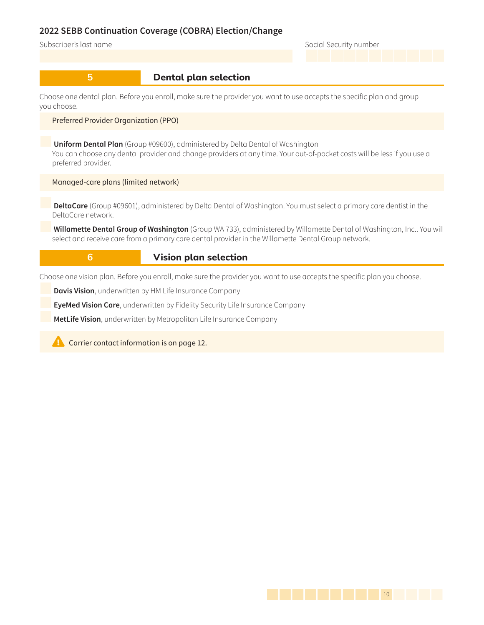Subscriber's last name Social Security number

### **5 b** Dental plan selection

Choose one dental plan. Before you enroll, make sure the provider you want to use accepts the specific plan and group you choose.

#### Preferred Provider Organization (PPO)

**Uniform Dental Plan** (Group #09600), administered by Delta Dental of Washington You can choose any dental provider and change providers at any time. Your out-of-pocket costs will be less if you use a preferred provider.

Managed-care plans (limited network)

**DeltaCare** (Group #09601), administered by Delta Dental of Washington. You must select a primary care dentist in the DeltaCare network.

**Willamette Dental Group of Washington** (Group WA 733), administered by Willamette Dental of Washington, Inc.. You will select and receive care from a primary care dental provider in the Willamette Dental Group network.

**6 b Vision plan selection** 

Choose one vision plan. Before you enroll, make sure the provider you want to use accepts the specific plan you choose.

**Davis Vision**, underwritten by HM Life Insurance Company

**EyeMed Vision Care**, underwritten by Fidelity Security Life Insurance Company

**MetLife Vision**, underwritten by Metropolitan Life Insurance Company

**Example 2** Carrier contact information is on [page 12.](#page-11-0)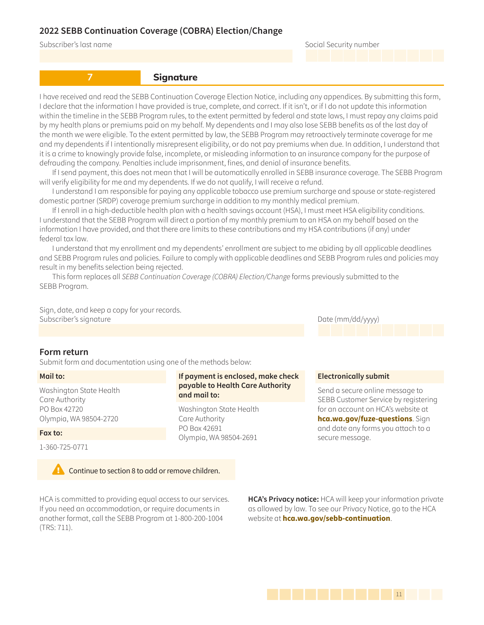Subscriber's last name Social Security number

**7 Signature** 

I have received and read the SEBB Continuation Coverage Election Notice, including any appendices. By submitting this form, I declare that the information I have provided is true, complete, and correct. If it isn't, or if I do not update this information within the timeline in the SEBB Program rules, to the extent permitted by federal and state laws, I must repay any claims paid by my health plans or premiums paid on my behalf. My dependents and I may also lose SEBB benefits as of the last day of the month we were eligible. To the extent permitted by law, the SEBB Program may retroactively terminate coverage for me and my dependents if I intentionally misrepresent eligibility, or do not pay premiums when due. In addition, I understand that it is a crime to knowingly provide false, incomplete, or misleading information to an insurance company for the purpose of defrauding the company. Penalties include imprisonment, fines, and denial of insurance benefits.

If I send payment, this does not mean that I will be automatically enrolled in SEBB insurance coverage. The SEBB Program will verify eligibility for me and my dependents. If we do not qualify, I will receive a refund.

I understand I am responsible for paying any applicable tobacco use premium surcharge and spouse or state-registered domestic partner (SRDP) coverage premium surcharge in addition to my monthly medical premium.

If I enroll in a high-deductible health plan with a health savings account (HSA), I must meet HSA eligibility conditions. I understand that the SEBB Program will direct a portion of my monthly premium to an HSA on my behalf based on the information I have provided, and that there are limits to these contributions and my HSA contributions (if any) under federal tax law.

I understand that my enrollment and my dependents' enrollment are subject to me abiding by all applicable deadlines and SEBB Program rules and policies. Failure to comply with applicable deadlines and SEBB Program rules and policies may result in my benefits selection being rejected.

This form replaces all SEBB Continuation Coverage (COBRA) Election/Change forms previously submitted to the SEBB Program.

Sign, date, and keep a copy for your records. Subscriber's signature and the control of the control of the control of the Date (mm/dd/yyyy)

#### <span id="page-10-0"></span>**Form return**

Submit form and documentation using one of the methods below:

#### **Mail to:**

Washington State Health Care Authority PO Box 42720 Olympia, WA 98504-2720

#### **Fax to:**

1-360-725-0771



HCA is committed to providing equal access to our services. If you need an accommodation, or require documents in another format, call the SEBB Program at 1-800-200-1004 (TRS: 711).

**If payment is enclosed, make check payable to Health Care Authority and mail to:** 

Washington State Health Care Authority PO Box 42691 Olympia, WA 98504-2691

#### **Electronically submit**

Send a secure online message to SEBB Customer Service by registering for an account on HCA's website at **hca.wa.gov/fuze-questions**. Sign and date any forms you attach to a secure message.

**HCA's Privacy notice:** HCA will keep your information private as allowed by law. To see our Privacy Notice, go to the HCA website at **hca.wa.gov/sebb-continuation**.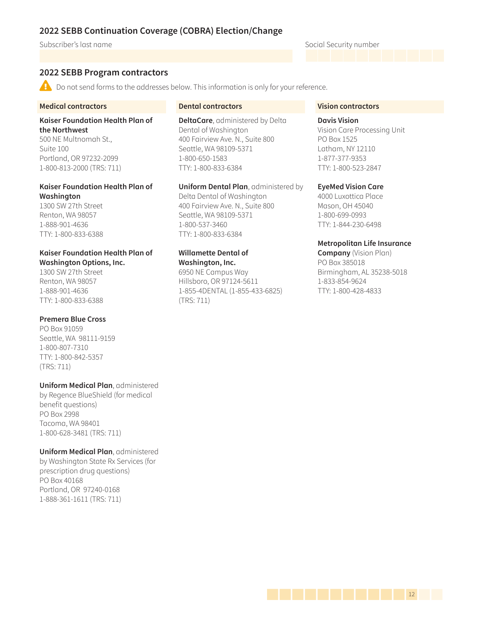#### Subscriber's last name Social Security number

### <span id="page-11-0"></span>**2022 SEBB Program contractors**

 $\triangle$  Do not send forms to the addresses below. This information is only for your reference.

#### **Medical contractors**

**Kaiser Foundation Health Plan of the Northwest** 500 NE Multnomah St.,

Suite 100 Portland, OR 97232-2099 1-800-813-2000 (TRS: 711)

### **Kaiser Foundation Health Plan of Washington**

1300 SW 27th Street Renton, WA 98057 1-888-901-4636 TTY: 1-800-833-6388

### **Kaiser Foundation Health Plan of Washington Options, Inc.**

1300 SW 27th Street Renton, WA 98057 1-888-901-4636 TTY: 1-800-833-6388

#### **Premera Blue Cross**

PO Box 91059 Seattle, WA 98111-9159 1-800-807-7310 TTY: 1-800-842-5357 (TRS: 711)

#### **Uniform Medical Plan**, administered

by Regence BlueShield (for medical benefit questions) PO Box 2998 Tacoma, WA 98401 1-800-628-3481 (TRS: 711)

**Uniform Medical Plan**, administered by Washington State Rx Services (for prescription drug questions) PO Box 40168 Portland, OR 97240-0168 1-888-361-1611 (TRS: 711)

#### **Dental contractors**

**DeltaCare**, administered by Delta Dental of Washington 400 Fairview Ave. N., Suite 800 Seattle, WA 98109-5371 1-800-650-1583 TTY: 1-800-833-6384

**Uniform Dental Plan**, administered by Delta Dental of Washington 400 Fairview Ave. N., Suite 800 Seattle, WA 98109-5371 1-800-537-3460 TTY: 1-800-833-6384

#### **Willamette Dental of Washington, Inc.**

6950 NE Campus Way Hillsboro, OR 97124-5611 1-855-4DENTAL (1-855-433-6825) (TRS: 711)

#### **Vision contractors**

#### **Davis Vision**

Vision Care Processing Unit PO Box 1525 Latham, NY 12110 1-877-377-9353 TTY: 1-800-523-2847

**EyeMed Vision Care**

4000 Luxottica Place Mason, OH 45040 1-800-699-0993 TTY: 1-844-230-6498

#### **Metropolitan Life Insurance**

**Company** (Vision Plan) PO Box 385018 Birmingham, AL 35238-5018 1-833-854-9624 TTY: 1-800-428-4833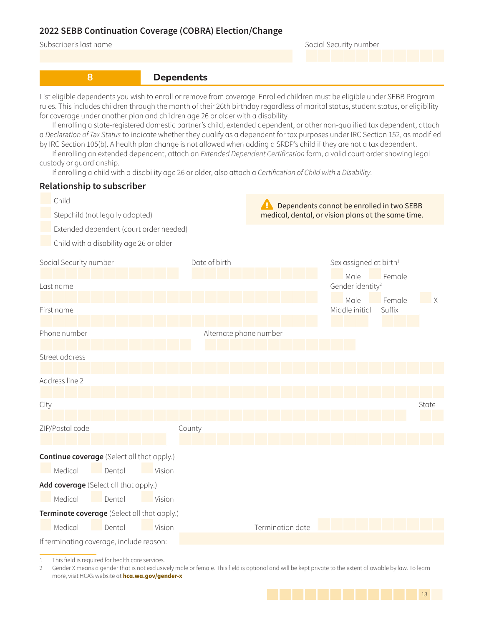Subscriber's last name

|  |  | Social Security number |
|--|--|------------------------|
|--|--|------------------------|

**8 Dependents** 

<span id="page-12-0"></span>List eligible dependents you wish to enroll or remove from coverage. Enrolled children must be eligible under SEBB Program rules. This includes children through the month of their 26th birthday regardless of marital status, student status, or eligibility for coverage under another plan and children age 26 or older with a disability.

If enrolling a state-registered domestic partner's child, extended dependent, or other non-qualified tax dependent, attach a Declaration of Tax Status to indicate whether they qualify as a dependent for tax purposes under IRC Section 152, as modified by IRC Section 105(b). A health plan change is not allowed when adding a SRDP's child if they are not a tax dependent.

If enrolling an extended dependent, attach an Extended Dependent Certification form, a valid court order showing legal custody or guardianship.

If enrolling a child with a disability age 26 or older, also attach a Certification of Child with a Disability.

### **Relationship to subscriber**



Street address

Address line 2

City State ZIP/Postal code County **Continue coverage** (Select all that apply.) Medical Dental Vision **Add coverage** (Select all that apply.) Medical Dental Vision **Terminate coverage** (Select all that apply.) Medical Dental Vision Termination date

If terminating coverage, include reason:

This field is required for health care services.

2 Gender X means a gender that is not exclusively male or female. This field is optional and will be kept private to the extent allowable by law. To learn more, visit HCA's website at **hca.wa.gov/gender-x**

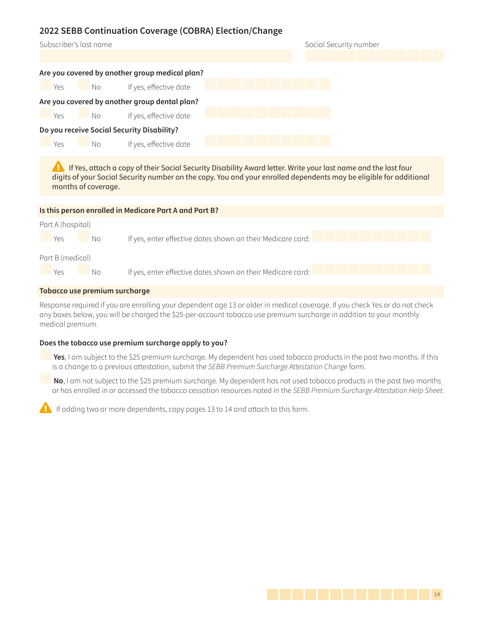| Subscriber's last name                         | Social Security number |
|------------------------------------------------|------------------------|
|                                                |                        |
| Are you covered by another group medical plan? |                        |
| If yes, effective date<br>Yes<br>No            |                        |
| Are you covered by another group dental plan?  |                        |
| If yes, effective date<br>Yes<br>No            |                        |
| Do you receive Social Security Disability?     |                        |
| If yes, effective date<br>Yes<br>No            |                        |
|                                                |                        |

**A** If Yes, attach a copy of their Social Security Disability Award letter. Write your last name and the last four digits of your Social Security number on the copy. You and your enrolled dependents may be eligible for additional months of coverage.

|                                      |     | Is this person enrolled in Medicare Part A and Part B?      |  |  |  |
|--------------------------------------|-----|-------------------------------------------------------------|--|--|--|
| Part A (hospital)                    |     |                                                             |  |  |  |
| Yes                                  | No. | If yes, enter effective dates shown on their Medicare card: |  |  |  |
| Part B (medical)<br>Yes              | No. | If yes, enter effective dates shown on their Medicare card: |  |  |  |
| <b>Tobacco use premium surcharge</b> |     |                                                             |  |  |  |

Response required if you are enrolling your dependent age 13 or older in medical coverage. If you check Yes or do not check any boxes below, you will be charged the \$25-per-account tobacco use premium surcharge in addition to your monthly medical premium.

### **Does the tobacco use premium surcharge apply to you?**

**Yes**, I am subject to the \$25 premium surcharge. My dependent has used tobacco products in the past two months. If this is a change to a previous attestation, submit the SEBB Premium Surcharge Attestation Change form.

**No**, I am not subject to the \$25 premium surcharge. My dependent has not used tobacco products in the past two months or has enrolled in or accessed the tobacco cessation resources noted in the SEBB Premium Surcharge Attestation Help Sheet.

 $\left\langle \cdot \right\rangle$  If adding two or more dependents, copy pages 13 to 14 and attach to this form.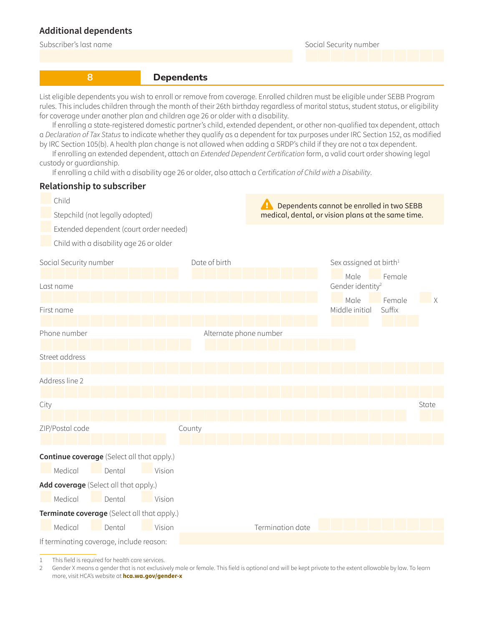### **Additional dependents**

Subscriber's last name Social Security number

### **8 Dependents**

List eligible dependents you wish to enroll or remove from coverage. Enrolled children must be eligible under SEBB Program rules. This includes children through the month of their 26th birthday regardless of marital status, student status, or eligibility for coverage under another plan and children age 26 or older with a disability.

If enrolling a state-registered domestic partner's child, extended dependent, or other non-qualified tax dependent, attach a Declaration of Tax Status to indicate whether they qualify as a dependent for tax purposes under IRC Section 152, as modified by IRC Section 105(b). A health plan change is not allowed when adding a SRDP's child if they are not a tax dependent.

If enrolling an extended dependent, attach an Extended Dependent Certification form, a valid court order showing legal custody or guardianship.

If enrolling a child with a disability age 26 or older, also attach a Certification of Child with a Disability.

### **Relationship to subscriber**



Street address

Address line 2

| City |                 |                                                   |        |                  |  | State |  |
|------|-----------------|---------------------------------------------------|--------|------------------|--|-------|--|
|      |                 |                                                   |        |                  |  |       |  |
|      | ZIP/Postal code |                                                   | County |                  |  |       |  |
|      |                 |                                                   |        |                  |  |       |  |
|      |                 | <b>Continue coverage</b> (Select all that apply.) |        |                  |  |       |  |
|      | Medical         | Dental                                            | Vision |                  |  |       |  |
|      |                 | Add coverage (Select all that apply.)             |        |                  |  |       |  |
|      | Medical         | Dental                                            | Vision |                  |  |       |  |
|      |                 | Terminate coverage (Select all that apply.)       |        |                  |  |       |  |
|      | Medical         | Dental                                            | Vision | Termination date |  |       |  |

If terminating coverage, include reason:

1 This field is required for health care services.

2 Gender X means a gender that is not exclusively male or female. This field is optional and will be kept private to the extent allowable by law. To learn more, visit HCA's website at **hca.wa.gov/gender-x**